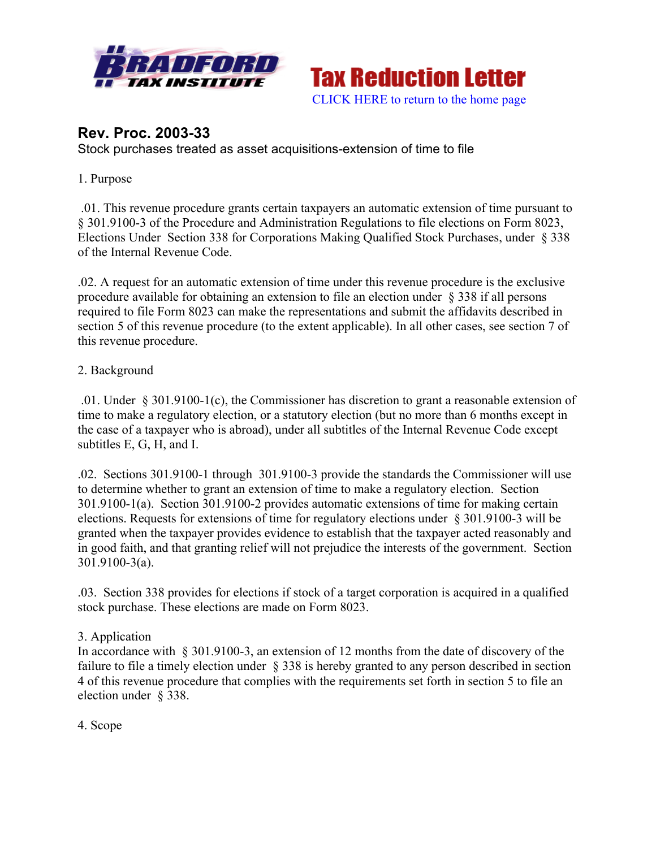



# **Rev. Proc. 2003-33**

Stock purchases treated as asset acquisitions-extension of time to file

#### 1. Purpose

.01. This revenue procedure grants certain taxpayers an automatic extension of time pursuant to § 301.9100-3 of the Procedure and Administration Regulations to file elections on Form 8023, Elections Under Section 338 for Corporations Making Qualified Stock Purchases, under § 338 of the Internal Revenue Code.

.02. A request for an automatic extension of time under this revenue procedure is the exclusive procedure available for obtaining an extension to file an election under § 338 if all persons required to file Form 8023 can make the representations and submit the affidavits described in section 5 of this revenue procedure (to the extent applicable). In all other cases, see section 7 of this revenue procedure.

#### 2. Background

.01. Under § 301.9100-1(c), the Commissioner has discretion to grant a reasonable extension of time to make a regulatory election, or a statutory election (but no more than 6 months except in the case of a taxpayer who is abroad), under all subtitles of the Internal Revenue Code except subtitles E, G, H, and I.

.02. Sections 301.9100-1 through 301.9100-3 provide the standards the Commissioner will use to determine whether to grant an extension of time to make a regulatory election. Section 301.9100-1(a). Section 301.9100-2 provides automatic extensions of time for making certain elections. Requests for extensions of time for regulatory elections under § 301.9100-3 will be granted when the taxpayer provides evidence to establish that the taxpayer acted reasonably and in good faith, and that granting relief will not prejudice the interests of the government. Section 301.9100-3(a).

.03. Section 338 provides for elections if stock of a target corporation is acquired in a qualified stock purchase. These elections are made on Form 8023.

### 3. Application

In accordance with § 301.9100-3, an extension of 12 months from the date of discovery of the failure to file a timely election under § 338 is hereby granted to any person described in section 4 of this revenue procedure that complies with the requirements set forth in section 5 to file an election under § 338.

4. Scope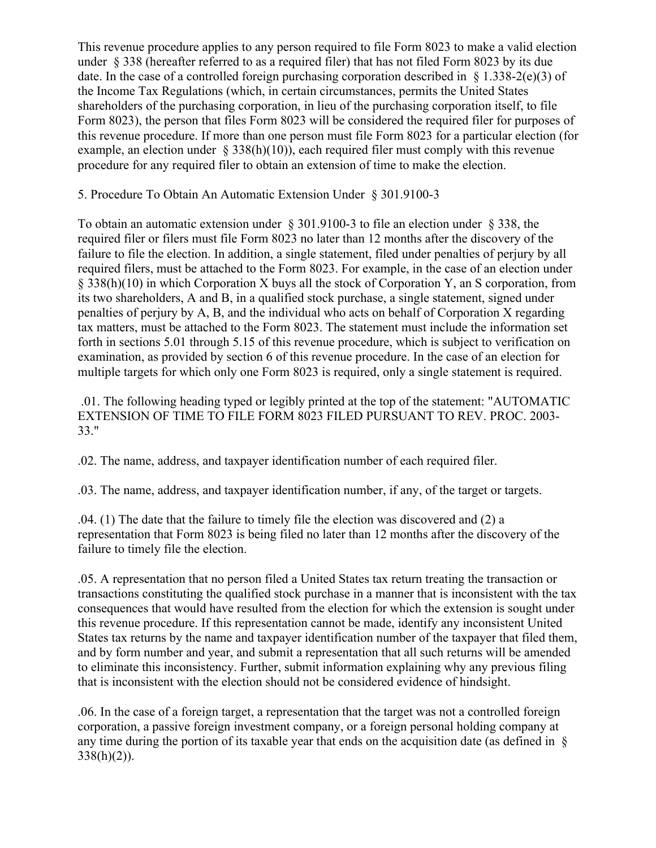This revenue procedure applies to any person required to file Form 8023 to make a valid election under § 338 (hereafter referred to as a required filer) that has not filed Form 8023 by its due date. In the case of a controlled foreign purchasing corporation described in  $\S$  1.338-2(e)(3) of the Income Tax Regulations (which, in certain circumstances, permits the United States shareholders of the purchasing corporation, in lieu of the purchasing corporation itself, to file Form 8023), the person that files Form 8023 will be considered the required filer for purposes of this revenue procedure. If more than one person must file Form 8023 for a particular election (for example, an election under  $\S$  338(h)(10)), each required filer must comply with this revenue procedure for any required filer to obtain an extension of time to make the election.

### 5. Procedure To Obtain An Automatic Extension Under § 301.9100-3

To obtain an automatic extension under § 301.9100-3 to file an election under § 338, the required filer or filers must file Form 8023 no later than 12 months after the discovery of the failure to file the election. In addition, a single statement, filed under penalties of perjury by all required filers, must be attached to the Form 8023. For example, in the case of an election under § 338(h)(10) in which Corporation X buys all the stock of Corporation Y, an S corporation, from its two shareholders, A and B, in a qualified stock purchase, a single statement, signed under penalties of perjury by A, B, and the individual who acts on behalf of Corporation X regarding tax matters, must be attached to the Form 8023. The statement must include the information set forth in sections 5.01 through 5.15 of this revenue procedure, which is subject to verification on examination, as provided by section 6 of this revenue procedure. In the case of an election for multiple targets for which only one Form 8023 is required, only a single statement is required.

.01. The following heading typed or legibly printed at the top of the statement: "AUTOMATIC EXTENSION OF TIME TO FILE FORM 8023 FILED PURSUANT TO REV. PROC. 2003- 33."

.02. The name, address, and taxpayer identification number of each required filer.

.03. The name, address, and taxpayer identification number, if any, of the target or targets.

.04. (1) The date that the failure to timely file the election was discovered and (2) a representation that Form 8023 is being filed no later than 12 months after the discovery of the failure to timely file the election.

.05. A representation that no person filed a United States tax return treating the transaction or transactions constituting the qualified stock purchase in a manner that is inconsistent with the tax consequences that would have resulted from the election for which the extension is sought under this revenue procedure. If this representation cannot be made, identify any inconsistent United States tax returns by the name and taxpayer identification number of the taxpayer that filed them, and by form number and year, and submit a representation that all such returns will be amended to eliminate this inconsistency. Further, submit information explaining why any previous filing that is inconsistent with the election should not be considered evidence of hindsight.

.06. In the case of a foreign target, a representation that the target was not a controlled foreign corporation, a passive foreign investment company, or a foreign personal holding company at any time during the portion of its taxable year that ends on the acquisition date (as defined in  $\S$ )  $338(h)(2)$ ).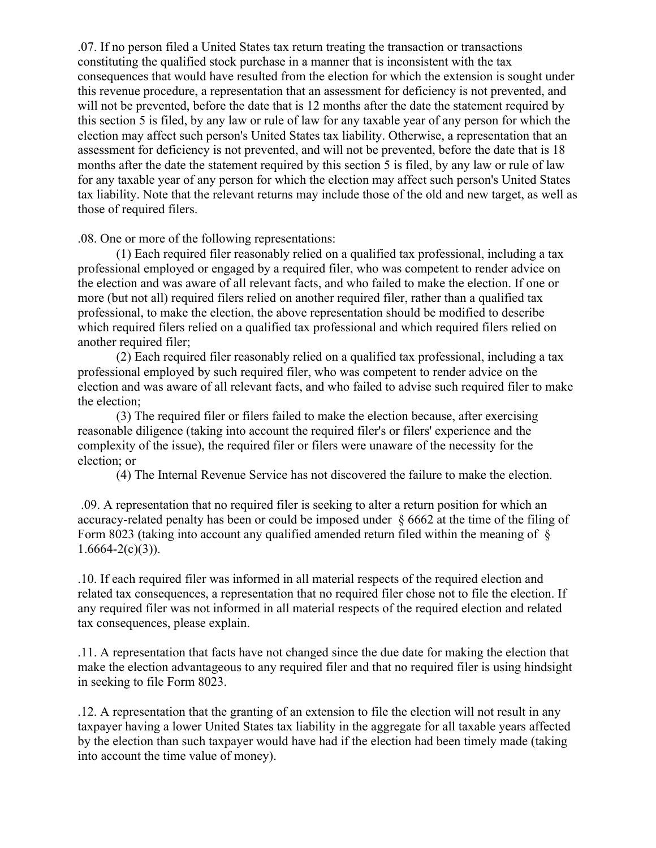.07. If no person filed a United States tax return treating the transaction or transactions constituting the qualified stock purchase in a manner that is inconsistent with the tax consequences that would have resulted from the election for which the extension is sought under this revenue procedure, a representation that an assessment for deficiency is not prevented, and will not be prevented, before the date that is 12 months after the date the statement required by this section 5 is filed, by any law or rule of law for any taxable year of any person for which the election may affect such person's United States tax liability. Otherwise, a representation that an assessment for deficiency is not prevented, and will not be prevented, before the date that is 18 months after the date the statement required by this section 5 is filed, by any law or rule of law for any taxable year of any person for which the election may affect such person's United States tax liability. Note that the relevant returns may include those of the old and new target, as well as those of required filers.

.08. One or more of the following representations:

(1) Each required filer reasonably relied on a qualified tax professional, including a tax professional employed or engaged by a required filer, who was competent to render advice on the election and was aware of all relevant facts, and who failed to make the election. If one or more (but not all) required filers relied on another required filer, rather than a qualified tax professional, to make the election, the above representation should be modified to describe which required filers relied on a qualified tax professional and which required filers relied on another required filer;

(2) Each required filer reasonably relied on a qualified tax professional, including a tax professional employed by such required filer, who was competent to render advice on the election and was aware of all relevant facts, and who failed to advise such required filer to make the election;

(3) The required filer or filers failed to make the election because, after exercising reasonable diligence (taking into account the required filer's or filers' experience and the complexity of the issue), the required filer or filers were unaware of the necessity for the election; or

(4) The Internal Revenue Service has not discovered the failure to make the election.

.09. A representation that no required filer is seeking to alter a return position for which an accuracy-related penalty has been or could be imposed under § 6662 at the time of the filing of Form 8023 (taking into account any qualified amended return filed within the meaning of §  $1.6664 - 2(c)(3)$ ).

.10. If each required filer was informed in all material respects of the required election and related tax consequences, a representation that no required filer chose not to file the election. If any required filer was not informed in all material respects of the required election and related tax consequences, please explain.

.11. A representation that facts have not changed since the due date for making the election that make the election advantageous to any required filer and that no required filer is using hindsight in seeking to file Form 8023.

.12. A representation that the granting of an extension to file the election will not result in any taxpayer having a lower United States tax liability in the aggregate for all taxable years affected by the election than such taxpayer would have had if the election had been timely made (taking into account the time value of money).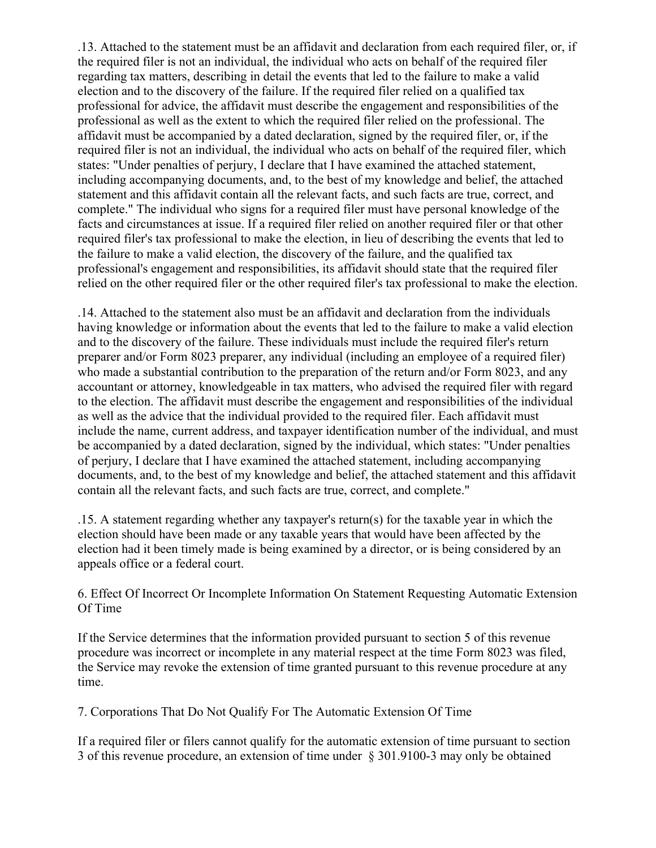.13. Attached to the statement must be an affidavit and declaration from each required filer, or, if the required filer is not an individual, the individual who acts on behalf of the required filer regarding tax matters, describing in detail the events that led to the failure to make a valid election and to the discovery of the failure. If the required filer relied on a qualified tax professional for advice, the affidavit must describe the engagement and responsibilities of the professional as well as the extent to which the required filer relied on the professional. The affidavit must be accompanied by a dated declaration, signed by the required filer, or, if the required filer is not an individual, the individual who acts on behalf of the required filer, which states: "Under penalties of perjury, I declare that I have examined the attached statement, including accompanying documents, and, to the best of my knowledge and belief, the attached statement and this affidavit contain all the relevant facts, and such facts are true, correct, and complete." The individual who signs for a required filer must have personal knowledge of the facts and circumstances at issue. If a required filer relied on another required filer or that other required filer's tax professional to make the election, in lieu of describing the events that led to the failure to make a valid election, the discovery of the failure, and the qualified tax professional's engagement and responsibilities, its affidavit should state that the required filer relied on the other required filer or the other required filer's tax professional to make the election.

.14. Attached to the statement also must be an affidavit and declaration from the individuals having knowledge or information about the events that led to the failure to make a valid election and to the discovery of the failure. These individuals must include the required filer's return preparer and/or Form 8023 preparer, any individual (including an employee of a required filer) who made a substantial contribution to the preparation of the return and/or Form 8023, and any accountant or attorney, knowledgeable in tax matters, who advised the required filer with regard to the election. The affidavit must describe the engagement and responsibilities of the individual as well as the advice that the individual provided to the required filer. Each affidavit must include the name, current address, and taxpayer identification number of the individual, and must be accompanied by a dated declaration, signed by the individual, which states: "Under penalties of perjury, I declare that I have examined the attached statement, including accompanying documents, and, to the best of my knowledge and belief, the attached statement and this affidavit contain all the relevant facts, and such facts are true, correct, and complete."

.15. A statement regarding whether any taxpayer's return(s) for the taxable year in which the election should have been made or any taxable years that would have been affected by the election had it been timely made is being examined by a director, or is being considered by an appeals office or a federal court.

### 6. Effect Of Incorrect Or Incomplete Information On Statement Requesting Automatic Extension Of Time

If the Service determines that the information provided pursuant to section 5 of this revenue procedure was incorrect or incomplete in any material respect at the time Form 8023 was filed, the Service may revoke the extension of time granted pursuant to this revenue procedure at any time.

7. Corporations That Do Not Qualify For The Automatic Extension Of Time

If a required filer or filers cannot qualify for the automatic extension of time pursuant to section 3 of this revenue procedure, an extension of time under § 301.9100-3 may only be obtained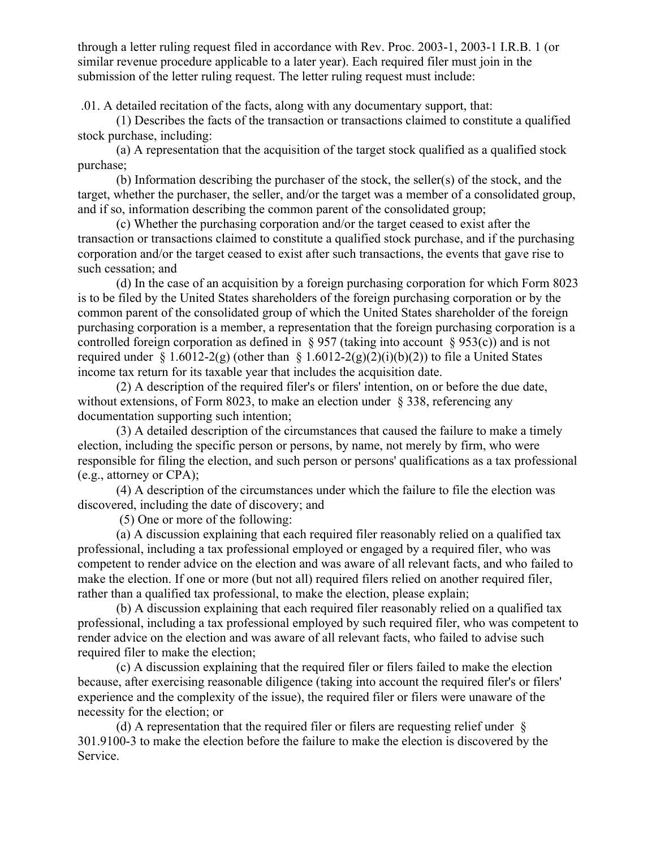through a letter ruling request filed in accordance with Rev. Proc. 2003-1, 2003-1 I.R.B. 1 (or similar revenue procedure applicable to a later year). Each required filer must join in the submission of the letter ruling request. The letter ruling request must include:

.01. A detailed recitation of the facts, along with any documentary support, that:

(1) Describes the facts of the transaction or transactions claimed to constitute a qualified stock purchase, including:

(a) A representation that the acquisition of the target stock qualified as a qualified stock purchase;

(b) Information describing the purchaser of the stock, the seller(s) of the stock, and the target, whether the purchaser, the seller, and/or the target was a member of a consolidated group, and if so, information describing the common parent of the consolidated group;

(c) Whether the purchasing corporation and/or the target ceased to exist after the transaction or transactions claimed to constitute a qualified stock purchase, and if the purchasing corporation and/or the target ceased to exist after such transactions, the events that gave rise to such cessation; and

(d) In the case of an acquisition by a foreign purchasing corporation for which Form 8023 is to be filed by the United States shareholders of the foreign purchasing corporation or by the common parent of the consolidated group of which the United States shareholder of the foreign purchasing corporation is a member, a representation that the foreign purchasing corporation is a controlled foreign corporation as defined in  $\S 957$  (taking into account  $\S 953(c)$ ) and is not required under § 1.6012-2(g) (other than § 1.6012-2(g)(2)(i)(b)(2)) to file a United States income tax return for its taxable year that includes the acquisition date.

(2) A description of the required filer's or filers' intention, on or before the due date, without extensions, of Form 8023, to make an election under § 338, referencing any documentation supporting such intention;

(3) A detailed description of the circumstances that caused the failure to make a timely election, including the specific person or persons, by name, not merely by firm, who were responsible for filing the election, and such person or persons' qualifications as a tax professional (e.g., attorney or CPA);

(4) A description of the circumstances under which the failure to file the election was discovered, including the date of discovery; and

(5) One or more of the following:

(a) A discussion explaining that each required filer reasonably relied on a qualified tax professional, including a tax professional employed or engaged by a required filer, who was competent to render advice on the election and was aware of all relevant facts, and who failed to make the election. If one or more (but not all) required filers relied on another required filer, rather than a qualified tax professional, to make the election, please explain;

(b) A discussion explaining that each required filer reasonably relied on a qualified tax professional, including a tax professional employed by such required filer, who was competent to render advice on the election and was aware of all relevant facts, who failed to advise such required filer to make the election;

(c) A discussion explaining that the required filer or filers failed to make the election because, after exercising reasonable diligence (taking into account the required filer's or filers' experience and the complexity of the issue), the required filer or filers were unaware of the necessity for the election; or

(d) A representation that the required filer or filers are requesting relief under § 301.9100-3 to make the election before the failure to make the election is discovered by the Service.